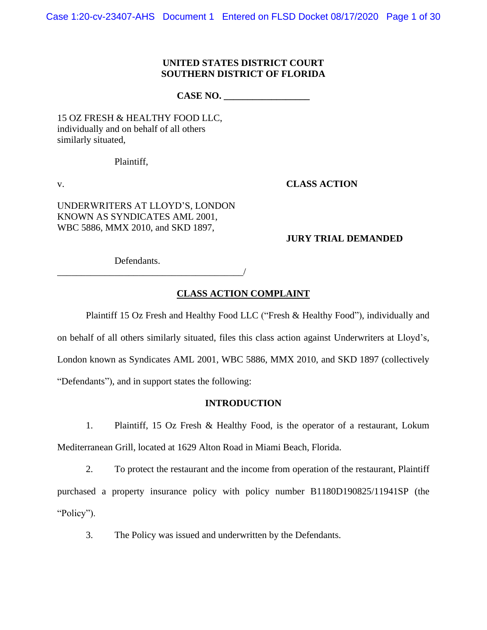# **UNITED STATES DISTRICT COURT SOUTHERN DISTRICT OF FLORIDA**

CASE NO.

15 OZ FRESH & HEALTHY FOOD LLC, individually and on behalf of all others similarly situated,

Plaintiff,

v. **CLASS ACTION**

UNDERWRITERS AT LLOYD'S, LONDON KNOWN AS SYNDICATES AML 2001, WBC 5886, MMX 2010, and SKD 1897,

\_\_\_\_\_\_\_\_\_\_\_\_\_\_\_\_\_\_\_\_\_\_\_\_\_\_\_\_\_\_\_\_\_\_\_\_\_\_\_/

# **JURY TRIAL DEMANDED**

Defendants.

# **CLASS ACTION COMPLAINT**

Plaintiff 15 Oz Fresh and Healthy Food LLC ("Fresh & Healthy Food"), individually and on behalf of all others similarly situated, files this class action against Underwriters at Lloyd's, London known as Syndicates AML 2001, WBC 5886, MMX 2010, and SKD 1897 (collectively "Defendants"), and in support states the following:

# **INTRODUCTION**

1. Plaintiff, 15 Oz Fresh & Healthy Food, is the operator of a restaurant, Lokum Mediterranean Grill, located at 1629 Alton Road in Miami Beach, Florida.

2. To protect the restaurant and the income from operation of the restaurant, Plaintiff purchased a property insurance policy with policy number B1180D190825/11941SP (the "Policy").

3. The Policy was issued and underwritten by the Defendants.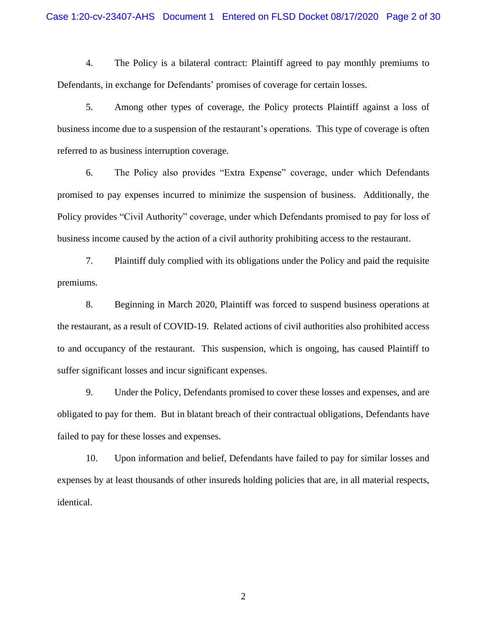4. The Policy is a bilateral contract: Plaintiff agreed to pay monthly premiums to Defendants, in exchange for Defendants' promises of coverage for certain losses.

5. Among other types of coverage, the Policy protects Plaintiff against a loss of business income due to a suspension of the restaurant's operations. This type of coverage is often referred to as business interruption coverage.

6. The Policy also provides "Extra Expense" coverage, under which Defendants promised to pay expenses incurred to minimize the suspension of business. Additionally, the Policy provides "Civil Authority" coverage, under which Defendants promised to pay for loss of business income caused by the action of a civil authority prohibiting access to the restaurant.

7. Plaintiff duly complied with its obligations under the Policy and paid the requisite premiums.

8. Beginning in March 2020, Plaintiff was forced to suspend business operations at the restaurant, as a result of COVID-19. Related actions of civil authorities also prohibited access to and occupancy of the restaurant. This suspension, which is ongoing, has caused Plaintiff to suffer significant losses and incur significant expenses.

9. Under the Policy, Defendants promised to cover these losses and expenses, and are obligated to pay for them. But in blatant breach of their contractual obligations, Defendants have failed to pay for these losses and expenses.

10. Upon information and belief, Defendants have failed to pay for similar losses and expenses by at least thousands of other insureds holding policies that are, in all material respects, identical.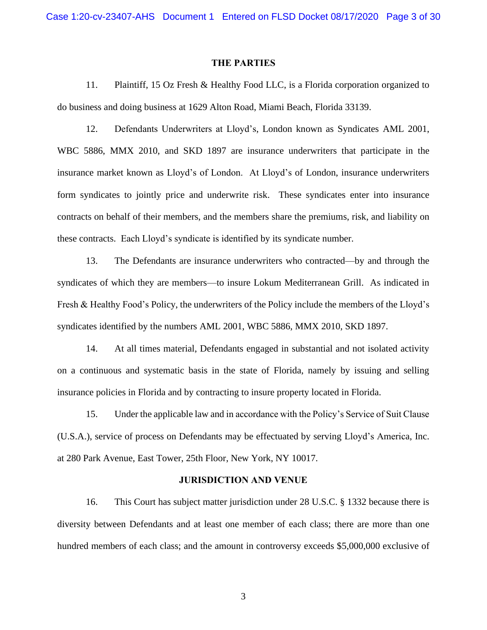Case 1:20-cv-23407-AHS Document 1 Entered on FLSD Docket 08/17/2020 Page 3 of 30

#### **THE PARTIES**

11. Plaintiff, 15 Oz Fresh & Healthy Food LLC, is a Florida corporation organized to do business and doing business at 1629 Alton Road, Miami Beach, Florida 33139.

12. Defendants Underwriters at Lloyd's, London known as Syndicates AML 2001, WBC 5886, MMX 2010, and SKD 1897 are insurance underwriters that participate in the insurance market known as Lloyd's of London. At Lloyd's of London, insurance underwriters form syndicates to jointly price and underwrite risk. These syndicates enter into insurance contracts on behalf of their members, and the members share the premiums, risk, and liability on these contracts. Each Lloyd's syndicate is identified by its syndicate number.

13. The Defendants are insurance underwriters who contracted—by and through the syndicates of which they are members—to insure Lokum Mediterranean Grill. As indicated in Fresh & Healthy Food's Policy, the underwriters of the Policy include the members of the Lloyd's syndicates identified by the numbers AML 2001, WBC 5886, MMX 2010, SKD 1897.

14. At all times material, Defendants engaged in substantial and not isolated activity on a continuous and systematic basis in the state of Florida, namely by issuing and selling insurance policies in Florida and by contracting to insure property located in Florida.

15. Under the applicable law and in accordance with the Policy's Service of Suit Clause (U.S.A.), service of process on Defendants may be effectuated by serving Lloyd's America, Inc. at 280 Park Avenue, East Tower, 25th Floor, New York, NY 10017.

#### **JURISDICTION AND VENUE**

16. This Court has subject matter jurisdiction under 28 U.S.C. § 1332 because there is diversity between Defendants and at least one member of each class; there are more than one hundred members of each class; and the amount in controversy exceeds \$5,000,000 exclusive of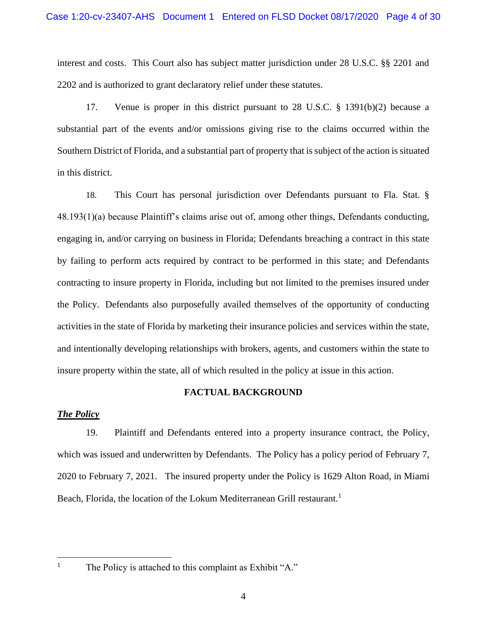interest and costs. This Court also has subject matter jurisdiction under 28 U.S.C. §§ 2201 and 2202 and is authorized to grant declaratory relief under these statutes.

17. Venue is proper in this district pursuant to 28 U.S.C. § 1391(b)(2) because a substantial part of the events and/or omissions giving rise to the claims occurred within the Southern District of Florida, and a substantial part of property that is subject of the action is situated in this district.

18. This Court has personal jurisdiction over Defendants pursuant to Fla. Stat. § 48.193(1)(a) because Plaintiff's claims arise out of, among other things, Defendants conducting, engaging in, and/or carrying on business in Florida; Defendants breaching a contract in this state by failing to perform acts required by contract to be performed in this state; and Defendants contracting to insure property in Florida, including but not limited to the premises insured under the Policy. Defendants also purposefully availed themselves of the opportunity of conducting activities in the state of Florida by marketing their insurance policies and services within the state, and intentionally developing relationships with brokers, agents, and customers within the state to insure property within the state, all of which resulted in the policy at issue in this action.

# **FACTUAL BACKGROUND**

# *The Policy*

19. Plaintiff and Defendants entered into a property insurance contract, the Policy, which was issued and underwritten by Defendants. The Policy has a policy period of February 7, 2020 to February 7, 2021. The insured property under the Policy is 1629 Alton Road, in Miami Beach, Florida, the location of the Lokum Mediterranean Grill restaurant.<sup>1</sup>

<sup>&</sup>lt;sup>1</sup> The Policy is attached to this complaint as Exhibit "A."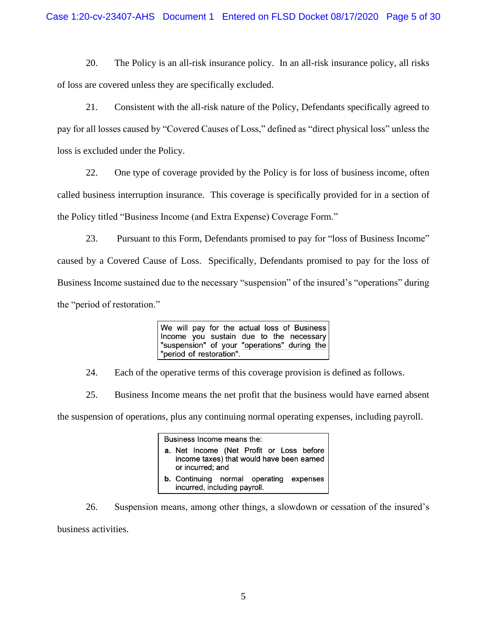20. The Policy is an all-risk insurance policy. In an all-risk insurance policy, all risks of loss are covered unless they are specifically excluded.

21. Consistent with the all-risk nature of the Policy, Defendants specifically agreed to pay for all losses caused by "Covered Causes of Loss," defined as "direct physical loss" unless the loss is excluded under the Policy.

22. One type of coverage provided by the Policy is for loss of business income, often called business interruption insurance. This coverage is specifically provided for in a section of the Policy titled "Business Income (and Extra Expense) Coverage Form."

23. Pursuant to this Form, Defendants promised to pay for "loss of Business Income" caused by a Covered Cause of Loss. Specifically, Defendants promised to pay for the loss of Business Income sustained due to the necessary "suspension" of the insured's "operations" during the "period of restoration."

> We will pay for the actual loss of Business Income you sustain due to the necessary "suspension" of your "operations" during the "period of restoration".

24. Each of the operative terms of this coverage provision is defined as follows.

25. Business Income means the net profit that the business would have earned absent the suspension of operations, plus any continuing normal operating expenses, including payroll.

| Business Income means the:                                                                                         |
|--------------------------------------------------------------------------------------------------------------------|
| <b>a.</b> Net Income (Net Profit or Loss before<br>income taxes) that would have been earned  <br>or incurred; and |
| <b>b.</b> Continuing normal operating expenses<br>incurred, including payroll.                                     |

26. Suspension means, among other things, a slowdown or cessation of the insured's business activities.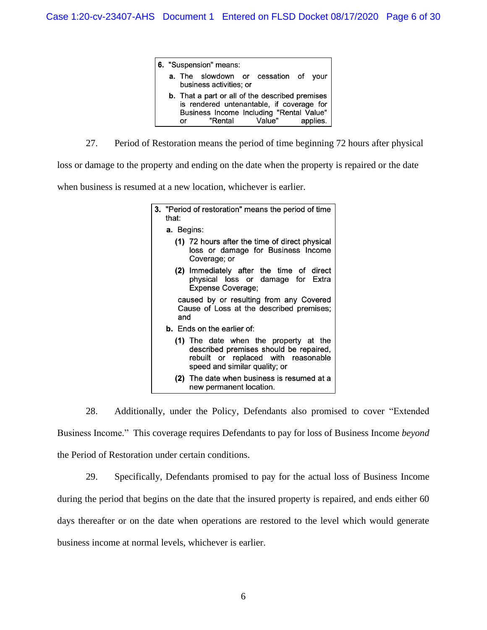

27. Period of Restoration means the period of time beginning 72 hours after physical

loss or damage to the property and ending on the date when the property is repaired or the date

when business is resumed at a new location, whichever is earlier.

3. "Period of restoration" means the period of time that: a. Begins: (1) 72 hours after the time of direct physical loss or damage for Business Income Coverage; or (2) Immediately after the time of direct physical loss or damage for Extra **Expense Coverage;** caused by or resulting from any Covered Cause of Loss at the described premises; and b. Ends on the earlier of: (1) The date when the property at the described premises should be repaired, rebuilt or replaced with reasonable speed and similar quality; or (2) The date when business is resumed at a new permanent location.

28. Additionally, under the Policy, Defendants also promised to cover "Extended Business Income." This coverage requires Defendants to pay for loss of Business Income *beyond* the Period of Restoration under certain conditions.

29. Specifically, Defendants promised to pay for the actual loss of Business Income during the period that begins on the date that the insured property is repaired, and ends either 60 days thereafter or on the date when operations are restored to the level which would generate business income at normal levels, whichever is earlier.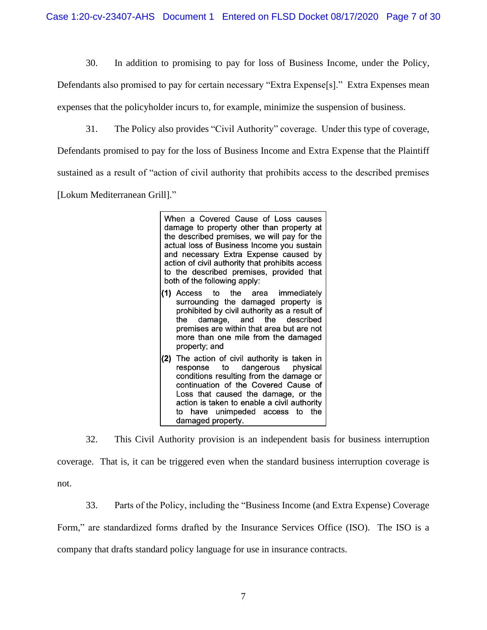30. In addition to promising to pay for loss of Business Income, under the Policy,

Defendants also promised to pay for certain necessary "Extra Expense<sup>[s]</sup>." Extra Expenses mean expenses that the policyholder incurs to, for example, minimize the suspension of business.

31. The Policy also provides "Civil Authority" coverage. Under this type of coverage,

Defendants promised to pay for the loss of Business Income and Extra Expense that the Plaintiff sustained as a result of "action of civil authority that prohibits access to the described premises [Lokum Mediterranean Grill]."

> When a Covered Cause of Loss causes damage to property other than property at the described premises, we will pay for the actual loss of Business Income you sustain and necessary Extra Expense caused by action of civil authority that prohibits access to the described premises, provided that both of the following apply:

- (1) Access to the area immediately surrounding the damaged property is prohibited by civil authority as a result of the damage, and the described premises are within that area but are not more than one mile from the damaged property; and
- (2) The action of civil authority is taken in response to dangerous physical conditions resulting from the damage or continuation of the Covered Cause of Loss that caused the damage, or the action is taken to enable a civil authority to have unimpeded access to the damaged property.

32. This Civil Authority provision is an independent basis for business interruption coverage. That is, it can be triggered even when the standard business interruption coverage is not.

33. Parts of the Policy, including the "Business Income (and Extra Expense) Coverage Form," are standardized forms drafted by the Insurance Services Office (ISO). The ISO is a company that drafts standard policy language for use in insurance contracts.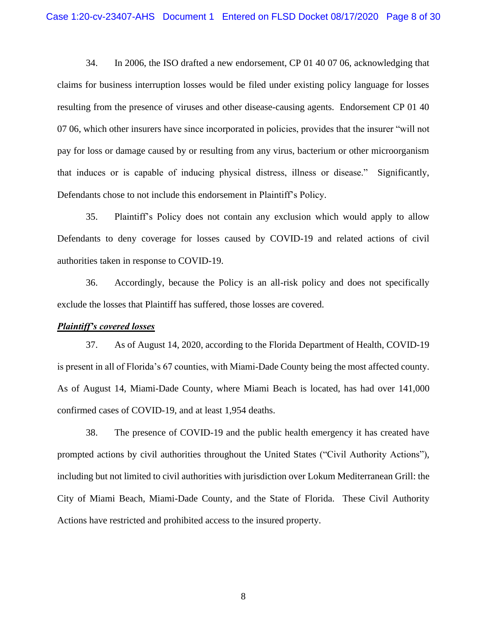34. In 2006, the ISO drafted a new endorsement, CP 01 40 07 06, acknowledging that claims for business interruption losses would be filed under existing policy language for losses resulting from the presence of viruses and other disease-causing agents. Endorsement CP 01 40 07 06, which other insurers have since incorporated in policies, provides that the insurer "will not pay for loss or damage caused by or resulting from any virus, bacterium or other microorganism that induces or is capable of inducing physical distress, illness or disease." Significantly, Defendants chose to not include this endorsement in Plaintiff's Policy.

35. Plaintiff's Policy does not contain any exclusion which would apply to allow Defendants to deny coverage for losses caused by COVID-19 and related actions of civil authorities taken in response to COVID-19.

36. Accordingly, because the Policy is an all-risk policy and does not specifically exclude the losses that Plaintiff has suffered, those losses are covered.

#### *Plaintiff's covered losses*

37. As of August 14, 2020, according to the Florida Department of Health, COVID-19 is present in all of Florida's 67 counties, with Miami-Dade County being the most affected county. As of August 14, Miami-Dade County, where Miami Beach is located, has had over 141,000 confirmed cases of COVID-19, and at least 1,954 deaths.

38. The presence of COVID-19 and the public health emergency it has created have prompted actions by civil authorities throughout the United States ("Civil Authority Actions"), including but not limited to civil authorities with jurisdiction over Lokum Mediterranean Grill: the City of Miami Beach, Miami-Dade County, and the State of Florida. These Civil Authority Actions have restricted and prohibited access to the insured property.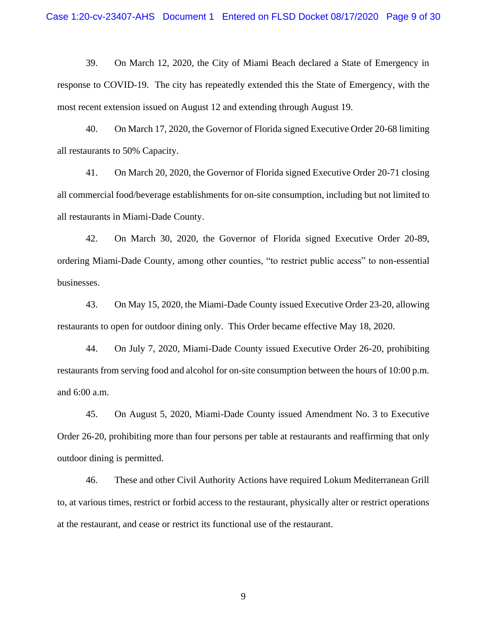39. On March 12, 2020, the City of Miami Beach declared a State of Emergency in response to COVID-19. The city has repeatedly extended this the State of Emergency, with the most recent extension issued on August 12 and extending through August 19.

40. On March 17, 2020, the Governor of Florida signed Executive Order 20-68 limiting all restaurants to 50% Capacity.

41. On March 20, 2020, the Governor of Florida signed Executive Order 20-71 closing all commercial food/beverage establishments for on-site consumption, including but not limited to all restaurants in Miami-Dade County.

42. On March 30, 2020, the Governor of Florida signed Executive Order 20-89, ordering Miami-Dade County, among other counties, "to restrict public access" to non-essential businesses.

43. On May 15, 2020, the Miami-Dade County issued Executive Order 23-20, allowing restaurants to open for outdoor dining only. This Order became effective May 18, 2020.

44. On July 7, 2020, Miami-Dade County issued Executive Order 26-20, prohibiting restaurants from serving food and alcohol for on-site consumption between the hours of 10:00 p.m. and 6:00 a.m.

45. On August 5, 2020, Miami-Dade County issued Amendment No. 3 to Executive Order 26-20, prohibiting more than four persons per table at restaurants and reaffirming that only outdoor dining is permitted.

46. These and other Civil Authority Actions have required Lokum Mediterranean Grill to, at various times, restrict or forbid access to the restaurant, physically alter or restrict operations at the restaurant, and cease or restrict its functional use of the restaurant.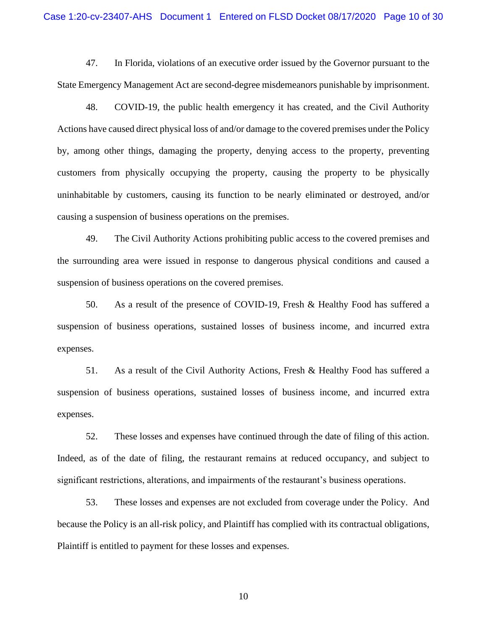47. In Florida, violations of an executive order issued by the Governor pursuant to the State Emergency Management Act are second-degree misdemeanors punishable by imprisonment.

48. COVID-19, the public health emergency it has created, and the Civil Authority Actions have caused direct physical loss of and/or damage to the covered premises under the Policy by, among other things, damaging the property, denying access to the property, preventing customers from physically occupying the property, causing the property to be physically uninhabitable by customers, causing its function to be nearly eliminated or destroyed, and/or causing a suspension of business operations on the premises.

49. The Civil Authority Actions prohibiting public access to the covered premises and the surrounding area were issued in response to dangerous physical conditions and caused a suspension of business operations on the covered premises.

50. As a result of the presence of COVID-19, Fresh & Healthy Food has suffered a suspension of business operations, sustained losses of business income, and incurred extra expenses.

51. As a result of the Civil Authority Actions, Fresh & Healthy Food has suffered a suspension of business operations, sustained losses of business income, and incurred extra expenses.

52. These losses and expenses have continued through the date of filing of this action. Indeed, as of the date of filing, the restaurant remains at reduced occupancy, and subject to significant restrictions, alterations, and impairments of the restaurant's business operations.

53. These losses and expenses are not excluded from coverage under the Policy. And because the Policy is an all-risk policy, and Plaintiff has complied with its contractual obligations, Plaintiff is entitled to payment for these losses and expenses.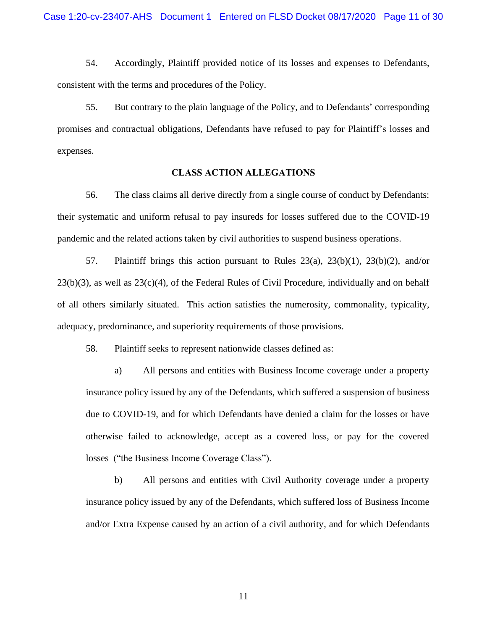54. Accordingly, Plaintiff provided notice of its losses and expenses to Defendants, consistent with the terms and procedures of the Policy.

55. But contrary to the plain language of the Policy, and to Defendants' corresponding promises and contractual obligations, Defendants have refused to pay for Plaintiff's losses and expenses.

# **CLASS ACTION ALLEGATIONS**

56. The class claims all derive directly from a single course of conduct by Defendants: their systematic and uniform refusal to pay insureds for losses suffered due to the COVID-19 pandemic and the related actions taken by civil authorities to suspend business operations.

57. Plaintiff brings this action pursuant to Rules 23(a), 23(b)(1), 23(b)(2), and/or 23(b)(3), as well as 23(c)(4), of the Federal Rules of Civil Procedure, individually and on behalf of all others similarly situated. This action satisfies the numerosity, commonality, typicality, adequacy, predominance, and superiority requirements of those provisions.

58. Plaintiff seeks to represent nationwide classes defined as:

a) All persons and entities with Business Income coverage under a property insurance policy issued by any of the Defendants, which suffered a suspension of business due to COVID-19, and for which Defendants have denied a claim for the losses or have otherwise failed to acknowledge, accept as a covered loss, or pay for the covered losses ("the Business Income Coverage Class").

b) All persons and entities with Civil Authority coverage under a property insurance policy issued by any of the Defendants, which suffered loss of Business Income and/or Extra Expense caused by an action of a civil authority, and for which Defendants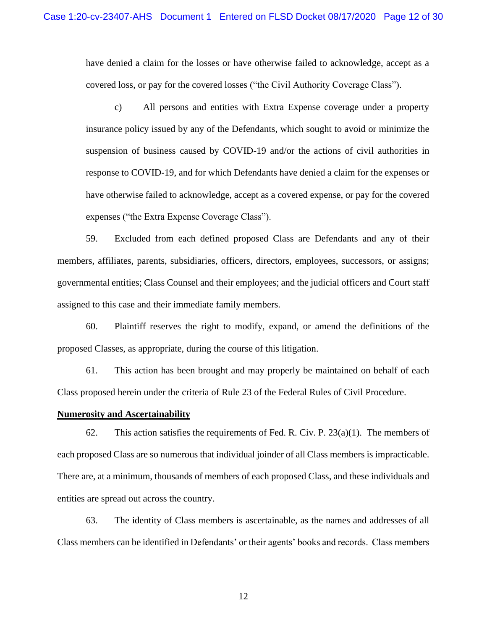have denied a claim for the losses or have otherwise failed to acknowledge, accept as a covered loss, or pay for the covered losses ("the Civil Authority Coverage Class").

c) All persons and entities with Extra Expense coverage under a property insurance policy issued by any of the Defendants, which sought to avoid or minimize the suspension of business caused by COVID-19 and/or the actions of civil authorities in response to COVID-19, and for which Defendants have denied a claim for the expenses or have otherwise failed to acknowledge, accept as a covered expense, or pay for the covered expenses ("the Extra Expense Coverage Class").

59. Excluded from each defined proposed Class are Defendants and any of their members, affiliates, parents, subsidiaries, officers, directors, employees, successors, or assigns; governmental entities; Class Counsel and their employees; and the judicial officers and Court staff assigned to this case and their immediate family members.

60. Plaintiff reserves the right to modify, expand, or amend the definitions of the proposed Classes, as appropriate, during the course of this litigation.

61. This action has been brought and may properly be maintained on behalf of each Class proposed herein under the criteria of Rule 23 of the Federal Rules of Civil Procedure.

#### **Numerosity and Ascertainability**

62. This action satisfies the requirements of Fed. R. Civ. P.  $23(a)(1)$ . The members of each proposed Class are so numerous that individual joinder of all Class members is impracticable. There are, at a minimum, thousands of members of each proposed Class, and these individuals and entities are spread out across the country.

63. The identity of Class members is ascertainable, as the names and addresses of all Class members can be identified in Defendants' or their agents' books and records. Class members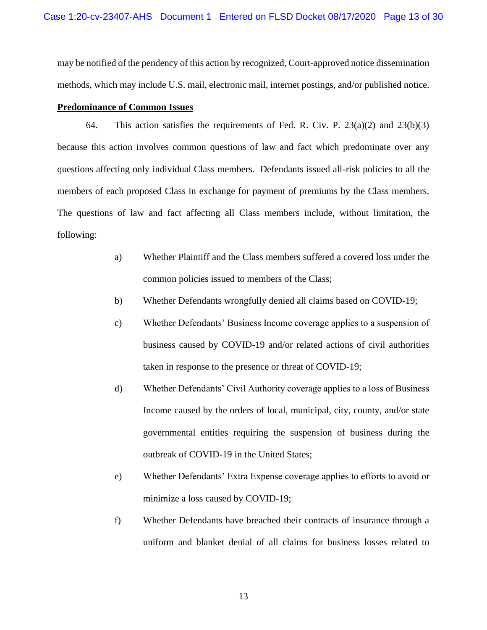may be notified of the pendency of this action by recognized, Court-approved notice dissemination methods, which may include U.S. mail, electronic mail, internet postings, and/or published notice.

# **Predominance of Common Issues**

64. This action satisfies the requirements of Fed. R. Civ. P.  $23(a)(2)$  and  $23(b)(3)$ because this action involves common questions of law and fact which predominate over any questions affecting only individual Class members. Defendants issued all-risk policies to all the members of each proposed Class in exchange for payment of premiums by the Class members. The questions of law and fact affecting all Class members include, without limitation, the following:

- a) Whether Plaintiff and the Class members suffered a covered loss under the common policies issued to members of the Class;
- b) Whether Defendants wrongfully denied all claims based on COVID-19;
- c) Whether Defendants' Business Income coverage applies to a suspension of business caused by COVID-19 and/or related actions of civil authorities taken in response to the presence or threat of COVID-19;
- d) Whether Defendants' Civil Authority coverage applies to a loss of Business Income caused by the orders of local, municipal, city, county, and/or state governmental entities requiring the suspension of business during the outbreak of COVID-19 in the United States;
- e) Whether Defendants' Extra Expense coverage applies to efforts to avoid or minimize a loss caused by COVID-19;
- f) Whether Defendants have breached their contracts of insurance through a uniform and blanket denial of all claims for business losses related to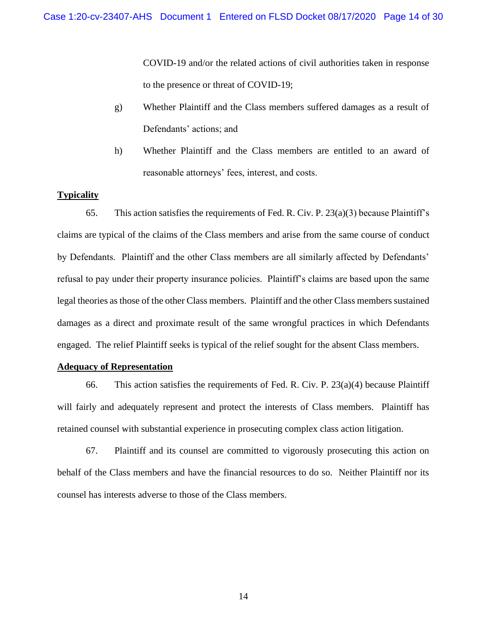COVID-19 and/or the related actions of civil authorities taken in response to the presence or threat of COVID-19;

- g) Whether Plaintiff and the Class members suffered damages as a result of Defendants' actions; and
- h) Whether Plaintiff and the Class members are entitled to an award of reasonable attorneys' fees, interest, and costs.

# **Typicality**

65. This action satisfies the requirements of Fed. R. Civ. P.  $23(a)(3)$  because Plaintiff's claims are typical of the claims of the Class members and arise from the same course of conduct by Defendants. Plaintiff and the other Class members are all similarly affected by Defendants' refusal to pay under their property insurance policies. Plaintiff's claims are based upon the same legal theories as those of the other Class members. Plaintiff and the other Class members sustained damages as a direct and proximate result of the same wrongful practices in which Defendants engaged. The relief Plaintiff seeks is typical of the relief sought for the absent Class members.

# **Adequacy of Representation**

66. This action satisfies the requirements of Fed. R. Civ. P.  $23(a)(4)$  because Plaintiff will fairly and adequately represent and protect the interests of Class members. Plaintiff has retained counsel with substantial experience in prosecuting complex class action litigation.

67. Plaintiff and its counsel are committed to vigorously prosecuting this action on behalf of the Class members and have the financial resources to do so. Neither Plaintiff nor its counsel has interests adverse to those of the Class members.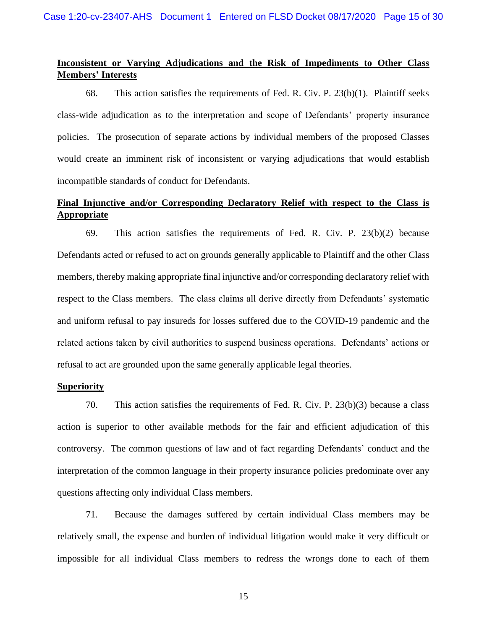# **Inconsistent or Varying Adjudications and the Risk of Impediments to Other Class Members' Interests**

68. This action satisfies the requirements of Fed. R. Civ. P. 23(b)(1). Plaintiff seeks class-wide adjudication as to the interpretation and scope of Defendants' property insurance policies. The prosecution of separate actions by individual members of the proposed Classes would create an imminent risk of inconsistent or varying adjudications that would establish incompatible standards of conduct for Defendants.

# **Final Injunctive and/or Corresponding Declaratory Relief with respect to the Class is Appropriate**

69. This action satisfies the requirements of Fed. R. Civ. P. 23(b)(2) because Defendants acted or refused to act on grounds generally applicable to Plaintiff and the other Class members, thereby making appropriate final injunctive and/or corresponding declaratory relief with respect to the Class members. The class claims all derive directly from Defendants' systematic and uniform refusal to pay insureds for losses suffered due to the COVID-19 pandemic and the related actions taken by civil authorities to suspend business operations. Defendants' actions or refusal to act are grounded upon the same generally applicable legal theories.

## **Superiority**

70. This action satisfies the requirements of Fed. R. Civ. P. 23(b)(3) because a class action is superior to other available methods for the fair and efficient adjudication of this controversy. The common questions of law and of fact regarding Defendants' conduct and the interpretation of the common language in their property insurance policies predominate over any questions affecting only individual Class members.

71. Because the damages suffered by certain individual Class members may be relatively small, the expense and burden of individual litigation would make it very difficult or impossible for all individual Class members to redress the wrongs done to each of them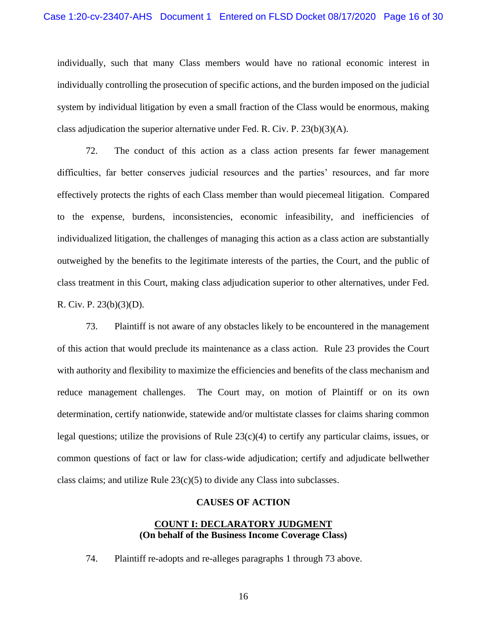individually, such that many Class members would have no rational economic interest in individually controlling the prosecution of specific actions, and the burden imposed on the judicial system by individual litigation by even a small fraction of the Class would be enormous, making class adjudication the superior alternative under Fed. R. Civ. P. 23(b)(3)(A).

72. The conduct of this action as a class action presents far fewer management difficulties, far better conserves judicial resources and the parties' resources, and far more effectively protects the rights of each Class member than would piecemeal litigation. Compared to the expense, burdens, inconsistencies, economic infeasibility, and inefficiencies of individualized litigation, the challenges of managing this action as a class action are substantially outweighed by the benefits to the legitimate interests of the parties, the Court, and the public of class treatment in this Court, making class adjudication superior to other alternatives, under Fed. R. Civ. P. 23(b)(3)(D).

<span id="page-15-0"></span>73. Plaintiff is not aware of any obstacles likely to be encountered in the management of this action that would preclude its maintenance as a class action. Rule 23 provides the Court with authority and flexibility to maximize the efficiencies and benefits of the class mechanism and reduce management challenges. The Court may, on motion of Plaintiff or on its own determination, certify nationwide, statewide and/or multistate classes for claims sharing common legal questions; utilize the provisions of Rule  $23(c)(4)$  to certify any particular claims, issues, or common questions of fact or law for class-wide adjudication; certify and adjudicate bellwether class claims; and utilize Rule  $23(c)(5)$  to divide any Class into subclasses.

#### **CAUSES OF ACTION**

# **COUNT I: DECLARATORY JUDGMENT (On behalf of the Business Income Coverage Class)**

74. Plaintiff re-adopts and re-alleges paragraphs 1 through [73](#page-15-0) above.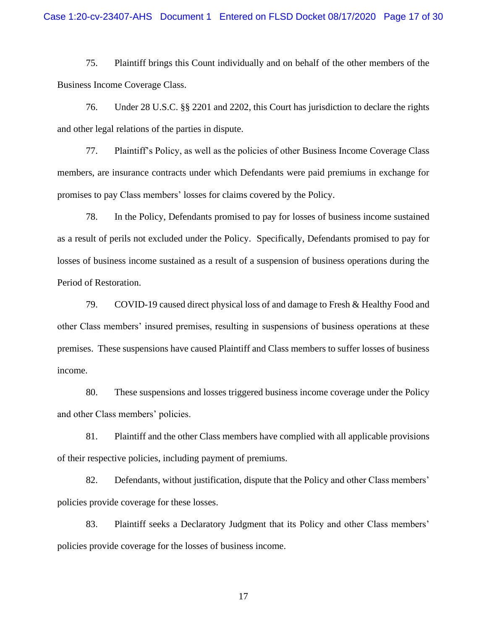Case 1:20-cv-23407-AHS Document 1 Entered on FLSD Docket 08/17/2020 Page 17 of 30

75. Plaintiff brings this Count individually and on behalf of the other members of the Business Income Coverage Class.

76. Under 28 U.S.C. §§ 2201 and 2202, this Court has jurisdiction to declare the rights and other legal relations of the parties in dispute.

77. Plaintiff's Policy, as well as the policies of other Business Income Coverage Class members, are insurance contracts under which Defendants were paid premiums in exchange for promises to pay Class members' losses for claims covered by the Policy.

78. In the Policy, Defendants promised to pay for losses of business income sustained as a result of perils not excluded under the Policy. Specifically, Defendants promised to pay for losses of business income sustained as a result of a suspension of business operations during the Period of Restoration.

79. COVID-19 caused direct physical loss of and damage to Fresh & Healthy Food and other Class members' insured premises, resulting in suspensions of business operations at these premises. These suspensions have caused Plaintiff and Class members to suffer losses of business income.

80. These suspensions and losses triggered business income coverage under the Policy and other Class members' policies.

81. Plaintiff and the other Class members have complied with all applicable provisions of their respective policies, including payment of premiums.

82. Defendants, without justification, dispute that the Policy and other Class members' policies provide coverage for these losses.

83. Plaintiff seeks a Declaratory Judgment that its Policy and other Class members' policies provide coverage for the losses of business income.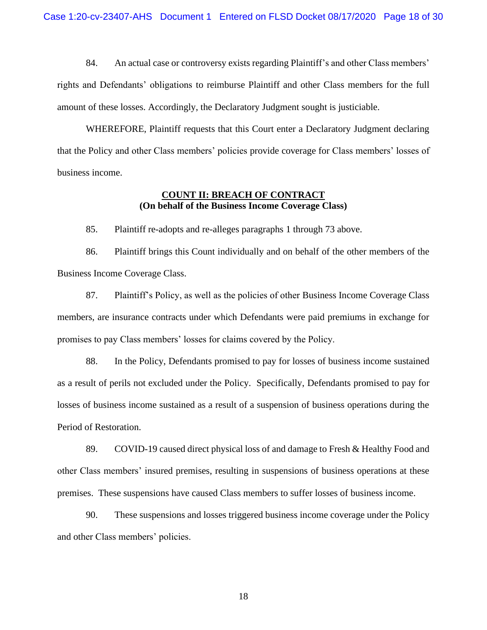84. An actual case or controversy exists regarding Plaintiff's and other Class members' rights and Defendants' obligations to reimburse Plaintiff and other Class members for the full amount of these losses. Accordingly, the Declaratory Judgment sought is justiciable.

WHEREFORE, Plaintiff requests that this Court enter a Declaratory Judgment declaring that the Policy and other Class members' policies provide coverage for Class members' losses of business income.

# **COUNT II: BREACH OF CONTRACT (On behalf of the Business Income Coverage Class)**

85. Plaintiff re-adopts and re-alleges paragraphs 1 through [73](#page-15-0) above.

86. Plaintiff brings this Count individually and on behalf of the other members of the Business Income Coverage Class.

87. Plaintiff's Policy, as well as the policies of other Business Income Coverage Class members, are insurance contracts under which Defendants were paid premiums in exchange for promises to pay Class members' losses for claims covered by the Policy.

88. In the Policy, Defendants promised to pay for losses of business income sustained as a result of perils not excluded under the Policy. Specifically, Defendants promised to pay for losses of business income sustained as a result of a suspension of business operations during the Period of Restoration.

89. COVID-19 caused direct physical loss of and damage to Fresh & Healthy Food and other Class members' insured premises, resulting in suspensions of business operations at these premises. These suspensions have caused Class members to suffer losses of business income.

90. These suspensions and losses triggered business income coverage under the Policy and other Class members' policies.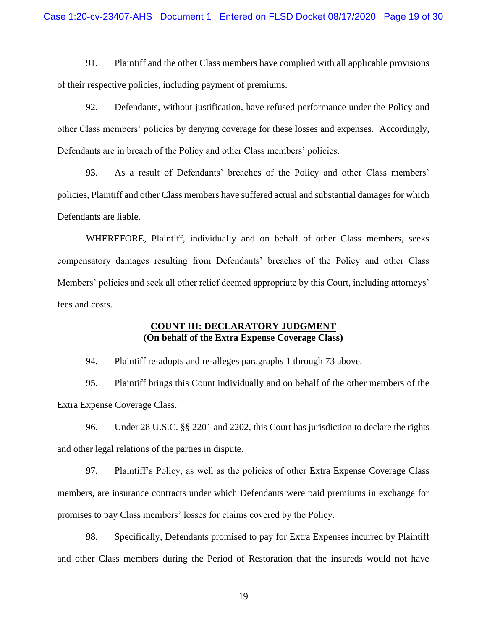91. Plaintiff and the other Class members have complied with all applicable provisions of their respective policies, including payment of premiums.

92. Defendants, without justification, have refused performance under the Policy and other Class members' policies by denying coverage for these losses and expenses. Accordingly, Defendants are in breach of the Policy and other Class members' policies.

93. As a result of Defendants' breaches of the Policy and other Class members' policies, Plaintiff and other Class members have suffered actual and substantial damages for which Defendants are liable.

WHEREFORE, Plaintiff, individually and on behalf of other Class members, seeks compensatory damages resulting from Defendants' breaches of the Policy and other Class Members' policies and seek all other relief deemed appropriate by this Court, including attorneys' fees and costs.

# **COUNT III: DECLARATORY JUDGMENT (On behalf of the Extra Expense Coverage Class)**

94. Plaintiff re-adopts and re-alleges paragraphs 1 through [73](#page-15-0) above.

95. Plaintiff brings this Count individually and on behalf of the other members of the Extra Expense Coverage Class.

96. Under 28 U.S.C. §§ 2201 and 2202, this Court has jurisdiction to declare the rights and other legal relations of the parties in dispute.

97. Plaintiff's Policy, as well as the policies of other Extra Expense Coverage Class members, are insurance contracts under which Defendants were paid premiums in exchange for promises to pay Class members' losses for claims covered by the Policy.

98. Specifically, Defendants promised to pay for Extra Expenses incurred by Plaintiff and other Class members during the Period of Restoration that the insureds would not have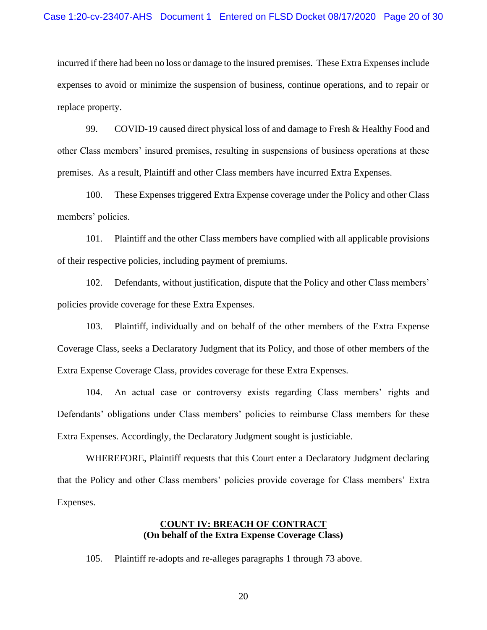incurred if there had been no loss or damage to the insured premises. These Extra Expenses include expenses to avoid or minimize the suspension of business, continue operations, and to repair or replace property.

99. COVID-19 caused direct physical loss of and damage to Fresh & Healthy Food and other Class members' insured premises, resulting in suspensions of business operations at these premises. As a result, Plaintiff and other Class members have incurred Extra Expenses.

100. These Expenses triggered Extra Expense coverage under the Policy and other Class members' policies.

101. Plaintiff and the other Class members have complied with all applicable provisions of their respective policies, including payment of premiums.

102. Defendants, without justification, dispute that the Policy and other Class members' policies provide coverage for these Extra Expenses.

103. Plaintiff, individually and on behalf of the other members of the Extra Expense Coverage Class, seeks a Declaratory Judgment that its Policy, and those of other members of the Extra Expense Coverage Class, provides coverage for these Extra Expenses.

104. An actual case or controversy exists regarding Class members' rights and Defendants' obligations under Class members' policies to reimburse Class members for these Extra Expenses. Accordingly, the Declaratory Judgment sought is justiciable.

WHEREFORE, Plaintiff requests that this Court enter a Declaratory Judgment declaring that the Policy and other Class members' policies provide coverage for Class members' Extra Expenses.

# **COUNT IV: BREACH OF CONTRACT (On behalf of the Extra Expense Coverage Class)**

105. Plaintiff re-adopts and re-alleges paragraphs 1 through [73](#page-15-0) above.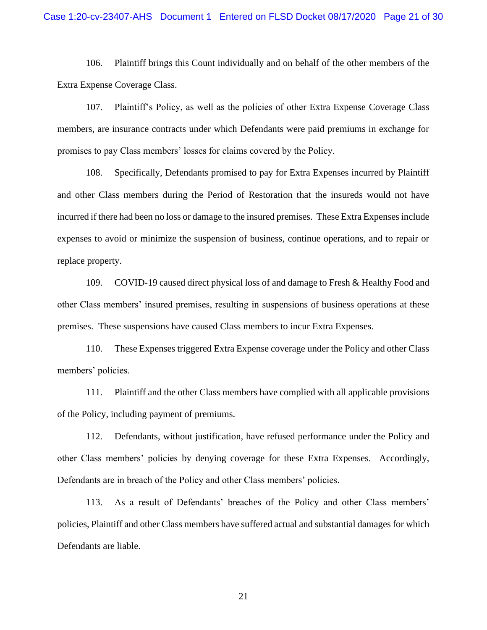106. Plaintiff brings this Count individually and on behalf of the other members of the Extra Expense Coverage Class.

107. Plaintiff's Policy, as well as the policies of other Extra Expense Coverage Class members, are insurance contracts under which Defendants were paid premiums in exchange for promises to pay Class members' losses for claims covered by the Policy.

108. Specifically, Defendants promised to pay for Extra Expenses incurred by Plaintiff and other Class members during the Period of Restoration that the insureds would not have incurred if there had been no loss or damage to the insured premises. These Extra Expenses include expenses to avoid or minimize the suspension of business, continue operations, and to repair or replace property.

109. COVID-19 caused direct physical loss of and damage to Fresh & Healthy Food and other Class members' insured premises, resulting in suspensions of business operations at these premises. These suspensions have caused Class members to incur Extra Expenses.

110. These Expenses triggered Extra Expense coverage under the Policy and other Class members' policies.

111. Plaintiff and the other Class members have complied with all applicable provisions of the Policy, including payment of premiums.

112. Defendants, without justification, have refused performance under the Policy and other Class members' policies by denying coverage for these Extra Expenses. Accordingly, Defendants are in breach of the Policy and other Class members' policies.

113. As a result of Defendants' breaches of the Policy and other Class members' policies, Plaintiff and other Class members have suffered actual and substantial damages for which Defendants are liable.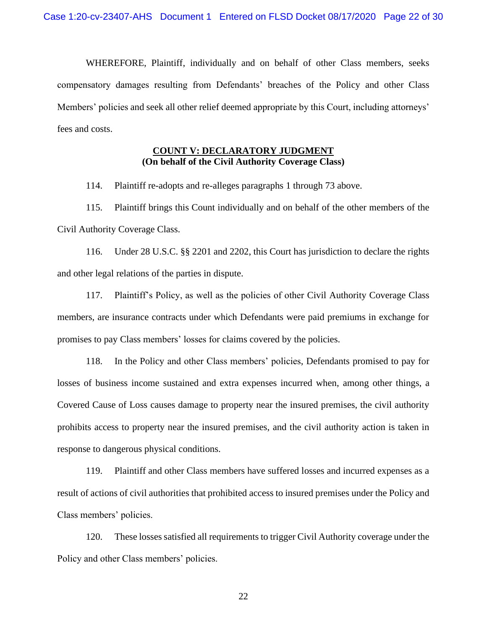WHEREFORE, Plaintiff, individually and on behalf of other Class members, seeks compensatory damages resulting from Defendants' breaches of the Policy and other Class Members' policies and seek all other relief deemed appropriate by this Court, including attorneys' fees and costs.

# **COUNT V: DECLARATORY JUDGMENT (On behalf of the Civil Authority Coverage Class)**

114. Plaintiff re-adopts and re-alleges paragraphs 1 through [73](#page-15-0) above.

115. Plaintiff brings this Count individually and on behalf of the other members of the Civil Authority Coverage Class.

116. Under 28 U.S.C. §§ 2201 and 2202, this Court has jurisdiction to declare the rights and other legal relations of the parties in dispute.

117. Plaintiff's Policy, as well as the policies of other Civil Authority Coverage Class members, are insurance contracts under which Defendants were paid premiums in exchange for promises to pay Class members' losses for claims covered by the policies.

118. In the Policy and other Class members' policies, Defendants promised to pay for losses of business income sustained and extra expenses incurred when, among other things, a Covered Cause of Loss causes damage to property near the insured premises, the civil authority prohibits access to property near the insured premises, and the civil authority action is taken in response to dangerous physical conditions.

119. Plaintiff and other Class members have suffered losses and incurred expenses as a result of actions of civil authorities that prohibited access to insured premises under the Policy and Class members' policies.

120. These losses satisfied all requirements to trigger Civil Authority coverage under the Policy and other Class members' policies.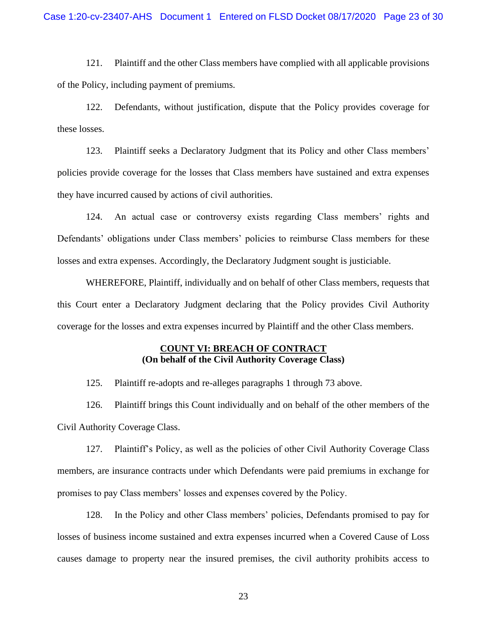121. Plaintiff and the other Class members have complied with all applicable provisions of the Policy, including payment of premiums.

122. Defendants, without justification, dispute that the Policy provides coverage for these losses.

123. Plaintiff seeks a Declaratory Judgment that its Policy and other Class members' policies provide coverage for the losses that Class members have sustained and extra expenses they have incurred caused by actions of civil authorities.

124. An actual case or controversy exists regarding Class members' rights and Defendants' obligations under Class members' policies to reimburse Class members for these losses and extra expenses. Accordingly, the Declaratory Judgment sought is justiciable.

WHEREFORE, Plaintiff, individually and on behalf of other Class members, requests that this Court enter a Declaratory Judgment declaring that the Policy provides Civil Authority coverage for the losses and extra expenses incurred by Plaintiff and the other Class members.

# **COUNT VI: BREACH OF CONTRACT (On behalf of the Civil Authority Coverage Class)**

125. Plaintiff re-adopts and re-alleges paragraphs 1 through [73](#page-15-0) above.

126. Plaintiff brings this Count individually and on behalf of the other members of the Civil Authority Coverage Class.

127. Plaintiff's Policy, as well as the policies of other Civil Authority Coverage Class members, are insurance contracts under which Defendants were paid premiums in exchange for promises to pay Class members' losses and expenses covered by the Policy.

128. In the Policy and other Class members' policies, Defendants promised to pay for losses of business income sustained and extra expenses incurred when a Covered Cause of Loss causes damage to property near the insured premises, the civil authority prohibits access to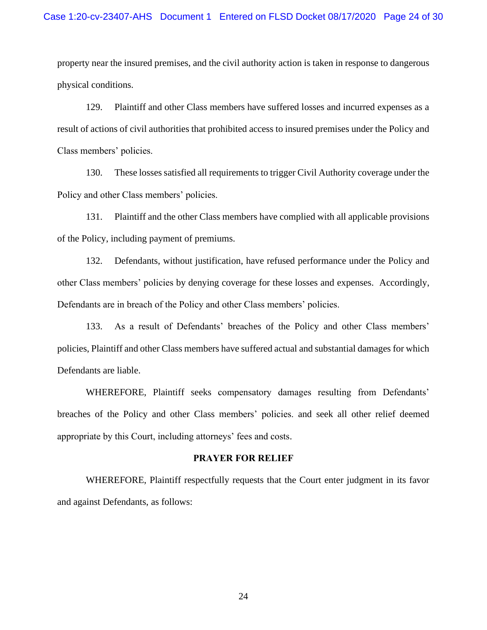property near the insured premises, and the civil authority action is taken in response to dangerous physical conditions.

129. Plaintiff and other Class members have suffered losses and incurred expenses as a result of actions of civil authorities that prohibited access to insured premises under the Policy and Class members' policies.

130. These losses satisfied all requirements to trigger Civil Authority coverage under the Policy and other Class members' policies.

131. Plaintiff and the other Class members have complied with all applicable provisions of the Policy, including payment of premiums.

132. Defendants, without justification, have refused performance under the Policy and other Class members' policies by denying coverage for these losses and expenses. Accordingly, Defendants are in breach of the Policy and other Class members' policies.

133. As a result of Defendants' breaches of the Policy and other Class members' policies, Plaintiff and other Class members have suffered actual and substantial damages for which Defendants are liable.

WHEREFORE, Plaintiff seeks compensatory damages resulting from Defendants' breaches of the Policy and other Class members' policies. and seek all other relief deemed appropriate by this Court, including attorneys' fees and costs.

#### **PRAYER FOR RELIEF**

WHEREFORE, Plaintiff respectfully requests that the Court enter judgment in its favor and against Defendants, as follows: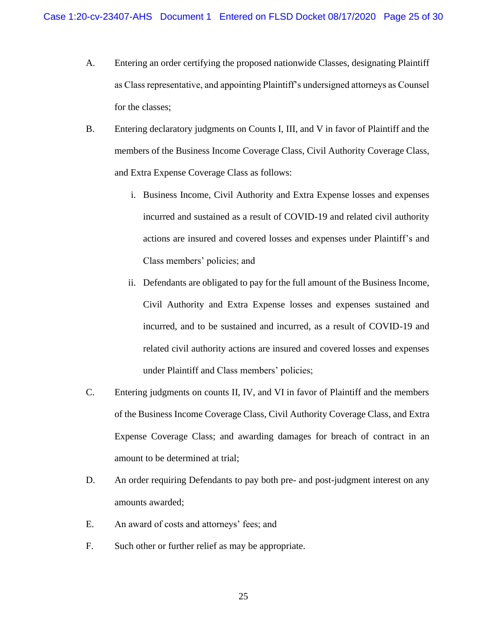- A. Entering an order certifying the proposed nationwide Classes, designating Plaintiff as Class representative, and appointing Plaintiff's undersigned attorneys as Counsel for the classes;
- B. Entering declaratory judgments on Counts I, III, and V in favor of Plaintiff and the members of the Business Income Coverage Class, Civil Authority Coverage Class, and Extra Expense Coverage Class as follows:
	- i. Business Income, Civil Authority and Extra Expense losses and expenses incurred and sustained as a result of COVID-19 and related civil authority actions are insured and covered losses and expenses under Plaintiff's and Class members' policies; and
	- ii. Defendants are obligated to pay for the full amount of the Business Income, Civil Authority and Extra Expense losses and expenses sustained and incurred, and to be sustained and incurred, as a result of COVID-19 and related civil authority actions are insured and covered losses and expenses under Plaintiff and Class members' policies;
- C. Entering judgments on counts II, IV, and VI in favor of Plaintiff and the members of the Business Income Coverage Class, Civil Authority Coverage Class, and Extra Expense Coverage Class; and awarding damages for breach of contract in an amount to be determined at trial;
- D. An order requiring Defendants to pay both pre- and post-judgment interest on any amounts awarded;
- E. An award of costs and attorneys' fees; and
- F. Such other or further relief as may be appropriate.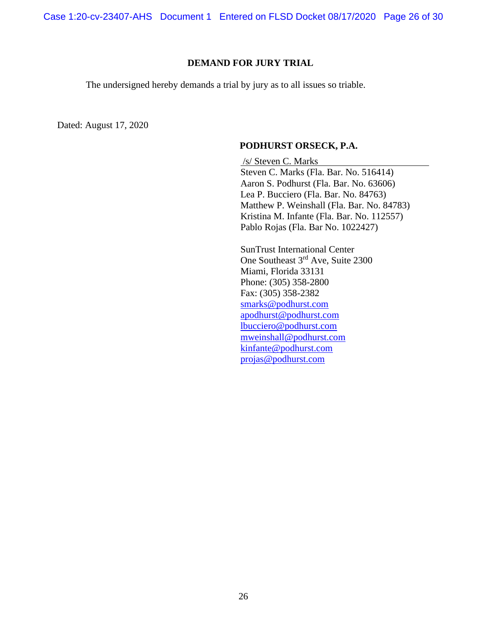Case 1:20-cv-23407-AHS Document 1 Entered on FLSD Docket 08/17/2020 Page 26 of 30

# **DEMAND FOR JURY TRIAL**

The undersigned hereby demands a trial by jury as to all issues so triable.

Dated: August 17, 2020

# **PODHURST ORSECK, P.A.**

/s/ Steven C. Marks Steven C. Marks (Fla. Bar. No. 516414) Aaron S. Podhurst (Fla. Bar. No. 63606) Lea P. Bucciero (Fla. Bar. No. 84763) Matthew P. Weinshall (Fla. Bar. No. 84783) Kristina M. Infante (Fla. Bar. No. 112557) Pablo Rojas (Fla. Bar No. 1022427)

SunTrust International Center One Southeast 3rd Ave, Suite 2300 Miami, Florida 33131 Phone: (305) 358-2800 Fax: (305) 358-2382 [smarks@podhurst.com](mailto:smarks@podhurst.com) [apodhurst@podhurst.com](mailto:apodhurst@podhurst.com) [lbucciero@podhurst.com](mailto:lbucciero@podhurst.com) [mweinshall@podhurst.com](mailto:mweinshall@podhurst.com) [kinfante@podhurst.com](mailto:kinfante@podhurst.com) projas@podhurst.com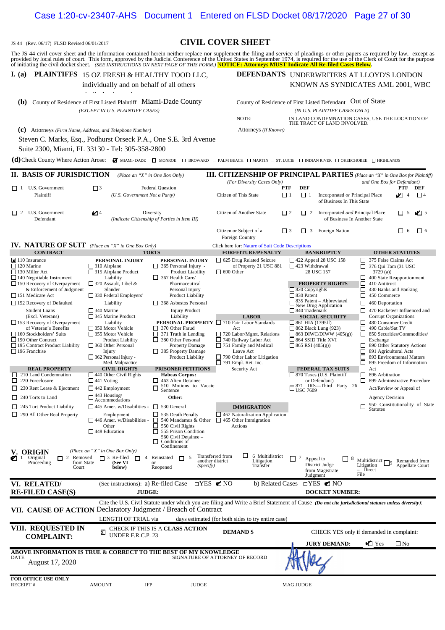# JS 44 (Rev. 06/17) FLSD Revised 06/01/2017 **CIVIL COVER SHEET**

The JS 44 civil cover sheet and the information contained herein neither replace nor supplement the filing and service of pleadings or other papers as required by law, except as<br>provided by local rules of court. This form,

DEFENDANTS UNDERWRITERS AT LLOYD'S LONDON

KNOWN AS SYNDICATES AML 2001, WBC

**I.** (a) **PLAINTIFFS** 15 OZ FRESH & HEALTHY FOOD LLC, **DEFENDANTS** 

individually and on behalf of all others

similarly situated

| (b) County of Residence of First Listed Plaintiff Miami-Dade County<br>(EXCEPT IN U.S. PLAINTIFF CASES)                                                                                                       |                                                      |                                                                                                                                                                           | Out of State<br>County of Residence of First Listed Defendant<br>(IN U.S. PLAINTIFF CASES ONLY)<br>NOTE:<br>IN LAND CONDEMNATION CASES, USE THE LOCATION OF<br>THE TRACT OF LAND INVOLVED. |                                                                                                                                                     |                                                                                                                    |  |
|---------------------------------------------------------------------------------------------------------------------------------------------------------------------------------------------------------------|------------------------------------------------------|---------------------------------------------------------------------------------------------------------------------------------------------------------------------------|--------------------------------------------------------------------------------------------------------------------------------------------------------------------------------------------|-----------------------------------------------------------------------------------------------------------------------------------------------------|--------------------------------------------------------------------------------------------------------------------|--|
| (C) Attorneys (Firm Name, Address, and Telephone Number)                                                                                                                                                      |                                                      |                                                                                                                                                                           | Attorneys (If Known)                                                                                                                                                                       |                                                                                                                                                     |                                                                                                                    |  |
| Steven C. Marks, Esq., Podhurst Orseck P.A., One S.E. 3rd Avenue                                                                                                                                              |                                                      |                                                                                                                                                                           |                                                                                                                                                                                            |                                                                                                                                                     |                                                                                                                    |  |
| Suite 2300, Miami, FL 33130 - Tel: 305-358-2800                                                                                                                                                               |                                                      |                                                                                                                                                                           |                                                                                                                                                                                            |                                                                                                                                                     |                                                                                                                    |  |
| (d) Check County Where Action Arose: <b>7</b> MIAMI-DADE <b>D</b> MONROE <b>D</b> BROWARD <b>D</b> PALM BEACH <b>D</b> MARTIN <b>D</b> ST. LUCIE <b>D</b> INDIAN RIVER <b>D</b> OKEECHOBEE <b>D</b> HIGHLANDS |                                                      |                                                                                                                                                                           |                                                                                                                                                                                            |                                                                                                                                                     |                                                                                                                    |  |
|                                                                                                                                                                                                               |                                                      |                                                                                                                                                                           |                                                                                                                                                                                            |                                                                                                                                                     |                                                                                                                    |  |
| II. BASIS OF JURISDICTION                                                                                                                                                                                     |                                                      | (Place an "X" in One Box Only)                                                                                                                                            | (For Diversity Cases Only)                                                                                                                                                                 |                                                                                                                                                     | <b>III. CITIZENSHIP OF PRINCIPAL PARTIES</b> (Place an "X" in One Box for Plaintiff)<br>and One Box for Defendant) |  |
| U.S. Government<br>$\Box$ 1<br>Plaintiff                                                                                                                                                                      | $\Box$ <sup>3</sup><br>(U.S. Government Not a Party) | <b>Federal Question</b>                                                                                                                                                   | Citizen of This State                                                                                                                                                                      | <b>DEF</b><br>PTF<br>$\Box$ 1<br>$\Box$ 1<br>Incorporated or Principal Place<br>of Business In This State                                           | PTF DEF<br>"∕⊓<br>$\Box$ 4<br>$\overline{4}$                                                                       |  |
| U.S. Government<br>$\Box$ 2<br>Defendant                                                                                                                                                                      | $\mathbb{Z}$ <sup>4</sup>                            | Diversity<br>(Indicate Citizenship of Parties in Item III)                                                                                                                | Citizen of Another State                                                                                                                                                                   | $\Box$ 2<br>$\Box$ 2<br>Incorporated and Principal Place<br>of Business In Another State                                                            | $\mathbb{Z}$ 5<br>$\Box$ 5                                                                                         |  |
|                                                                                                                                                                                                               |                                                      |                                                                                                                                                                           | Citizen or Subject of a<br>Foreign Country                                                                                                                                                 | $\Box$ 3<br>$\Box$ 3<br><b>Foreign Nation</b>                                                                                                       | $\Box$ 6<br>$\Box$ 6                                                                                               |  |
| <b>IV. NATURE OF SUIT</b> (Place an "X" in One Box Only)<br><b>CONTRACT</b>                                                                                                                                   |                                                      | <b>TORTS</b>                                                                                                                                                              | Click here for: Nature of Suit Code Descriptions<br><b>FORFEITURE/PENALTY</b>                                                                                                              | <b>BANKRUPTCY</b>                                                                                                                                   | <b>OTHER STATUTES</b>                                                                                              |  |
| $\mathbf{\times}$ 110 Insurance                                                                                                                                                                               | PERSONAL INJURY                                      | PERSONAL INJURY                                                                                                                                                           | $\Box$ 625 Drug Related Seizure                                                                                                                                                            | $\Box$ 422 Appeal 28 USC 158                                                                                                                        | 375 False Claims Act                                                                                               |  |
| $\Box$ 120 Marine<br>$\Box$ 130 Miller Act                                                                                                                                                                    | $\Box$ 310 Airplane<br>$\Box$ 315 Airplane Product   | $\Box$ 365 Personal Injury -<br>Product Liability                                                                                                                         | of Property 21 USC 881<br>$\Box$ 690 Other                                                                                                                                                 | $\Box$ 423 Withdrawal<br>28 USC 157                                                                                                                 | $\Box$ 376 Qui Tam (31 USC)<br>3729(a)                                                                             |  |
| $\Box$ 140 Negotiable Instrument                                                                                                                                                                              | Liability                                            | $\Box$ 367 Health Care/                                                                                                                                                   |                                                                                                                                                                                            |                                                                                                                                                     | $\Box$ 400 State Reapportionment                                                                                   |  |
| $\Box$ 150 Recovery of Overpayment<br>& Enforcement of Judgment                                                                                                                                               | $\Box$ 320 Assault, Libel &<br>Slander               | Pharmaceutical<br>Personal Injury                                                                                                                                         |                                                                                                                                                                                            | <b>PROPERTY RIGHTS</b><br>$\Box$ 820 Copyrights                                                                                                     | $\Box$ 410 Antitrust<br>$\Box$ 430 Banks and Banking                                                               |  |
| $\Box$ 151 Medicare Act                                                                                                                                                                                       | 330 Federal Employers'                               | Product Liability                                                                                                                                                         |                                                                                                                                                                                            | $\Box$ 830 Patent                                                                                                                                   | $\Box$ 450 Commerce                                                                                                |  |
| $\Box$ 152 Recovery of Defaulted<br><b>Student Loans</b>                                                                                                                                                      | Liability<br>$\Box$ 340 Marine                       | $\Box$ 368 Asbestos Personal<br><b>Injury Product</b>                                                                                                                     |                                                                                                                                                                                            | $\frac{335 \text{ Patent} - \text{Abbreviated}}{\text{New Drug Application}}$<br>$\Box$ 840 Trademark                                               | $\Box$ 460 Deportation<br>$\Box$ 470 Racketeer Influenced and                                                      |  |
| (Excl. Veterans)                                                                                                                                                                                              | $\Box$ 345 Marine Product                            | Liability                                                                                                                                                                 | <b>LABOR</b>                                                                                                                                                                               | <b>SOCIAL SECURITY</b>                                                                                                                              | <b>Corrupt Organizations</b>                                                                                       |  |
| $\Box$ 153 Recovery of Overpayment<br>of Veteran's Benefits                                                                                                                                                   | Liability<br>350 Motor Vehicle                       | $\Box$ 370 Other Fraud                                                                                                                                                    | <b>PERSONAL PROPERTY</b> □ 710 Fair Labor Standards<br>Act                                                                                                                                 | $\Box$ 861 HIA (1395ff)<br>$\Box$ 862 Black Lung (923)                                                                                              | $\Box$ 480 Consumer Credit<br>□<br>490 Cable/Sat TV                                                                |  |
| □ 160 Stockholders' Suits<br>$\Box$ 190 Other Contract                                                                                                                                                        | $\Box$ 355 Motor Vehicle<br>Product Liability        | $\Box$ 371 Truth in Lending<br>380 Other Personal                                                                                                                         | $\Box$ 720 Labor/Mgmt. Relations<br>$\Box$ 740 Railway Labor Act                                                                                                                           | $\Box$ 863 DIWC/DIWW (405(g))<br>$\Box$ 864 SSID Title XVI                                                                                          | $\Box$ 850 Securities/Commodities/<br>Exchange                                                                     |  |
| □ 195 Contract Product Liability                                                                                                                                                                              | $\Box$ 360 Other Personal                            | Property Damage                                                                                                                                                           | $\Box$ 751 Family and Medical                                                                                                                                                              | $\Box$ 865 RSI (405(g))                                                                                                                             | 890 Other Statutory Actions<br>□                                                                                   |  |
| $\Box$ 196 Franchise                                                                                                                                                                                          | Injury<br>$\Box$ 362 Personal Injury -               | $\Box$ 385 Property Damage<br>Product Liability                                                                                                                           | Leave Act<br>$\Box$ 790 Other Labor Litigation                                                                                                                                             |                                                                                                                                                     | 891 Agricultural Acts<br>□<br>□<br>893 Environmental Matters                                                       |  |
| <b>REAL PROPERTY</b>                                                                                                                                                                                          | Med. Malpractice<br><b>CIVIL RIGHTS</b>              | <b>PRISONER PETITIONS</b>                                                                                                                                                 | $\Box$ 791 Empl. Ret. Inc.<br>Security Act                                                                                                                                                 | <b>FEDERAL TAX SUITS</b>                                                                                                                            | □<br>895 Freedom of Information<br>Act                                                                             |  |
| $\Box$ 210 Land Condemnation<br>$\Box$ 220 Foreclosure                                                                                                                                                        | $\Box$ 440 Other Civil Rights<br>$\Box$ 441 Voting   | <b>Habeas Corpus:</b><br>$\Box$ 463 Alien Detainee                                                                                                                        |                                                                                                                                                                                            | □ 870 Taxes (U.S. Plaintiff<br>or Defendant)                                                                                                        | $\Box$ 896 Arbitration<br>□ 899 Administrative Procedure                                                           |  |
| $\Box$ 230 Rent Lease & Ejectment                                                                                                                                                                             | $\Box$ 442 Employment                                | 510 Motions to Vacate<br>Sentence<br>$\Box$                                                                                                                               |                                                                                                                                                                                            | $\Box^{871~\mathrm{IRS}-\mathrm{Third~Party~26}}_{\mathrm{USC}~7609}$                                                                               | Act/Review or Appeal of                                                                                            |  |
| $\Box$ 240 Torts to Land                                                                                                                                                                                      | $\Box$ 443 Housing/<br>Accommodations                | Other:                                                                                                                                                                    |                                                                                                                                                                                            |                                                                                                                                                     | <b>Agency Decision</b>                                                                                             |  |
| $\Box$ 245 Tort Product Liability                                                                                                                                                                             | $\Box$ 445 Amer. w/Disabilities - $\Box$ 530 General |                                                                                                                                                                           | <b>IMMIGRATION</b>                                                                                                                                                                         |                                                                                                                                                     | 950 Constitutionality of State<br>□<br>Statutes                                                                    |  |
| $\Box$ 290 All Other Real Property                                                                                                                                                                            | Employment<br>Other<br>448 Education                 | $\Box$ 535 Death Penalty<br>$\Box$ 446 Amer. w/Disabilities - $\Box$ 540 Mandamus & Other $\Box$ 465 Other Immigration<br>$\Box$ 550 Civil Rights<br>555 Prison Condition | $\Box$ 462 Naturalization Application<br>Actions                                                                                                                                           |                                                                                                                                                     |                                                                                                                    |  |
| V. ORIGIN                                                                                                                                                                                                     | (Place an "X" in One Box Only)                       | 560 Civil Detainee -<br>Conditions of<br>LI<br>Confinement                                                                                                                |                                                                                                                                                                                            |                                                                                                                                                     |                                                                                                                    |  |
| Original<br>2 Removed<br>$\blacksquare$ 1<br>Proceeding<br>from State<br>Court                                                                                                                                | $\Box$ 3 Re-filed<br>$\Box$<br>(See VI<br>below)     | 4 Reinstated<br>- 5<br>П.<br>another district<br>(specify)<br>Reopened                                                                                                    | ப<br>6 Multidistrict<br>Transferred from<br>Litigation<br>Transfer                                                                                                                         | П<br>7 Appeal to<br>$\Gamma$   8<br>District Judge<br>from Magistrate<br>Judgment                                                                   | Multidistrict $\Box$ 9<br>Remanded from<br>Litigation<br>Appellate Court<br>- Direct<br>File                       |  |
| VI. RELATED/                                                                                                                                                                                                  | (See instructions): a) Re-filed Case                 | <b>□YES ØNO</b>                                                                                                                                                           | b) Related Cases                                                                                                                                                                           | <b>□YES Ø NO</b>                                                                                                                                    |                                                                                                                    |  |
| <b>RE-FILED CASE(S)</b>                                                                                                                                                                                       | JUDGE:                                               |                                                                                                                                                                           |                                                                                                                                                                                            | <b>DOCKET NUMBER:</b>                                                                                                                               |                                                                                                                    |  |
| VII. CAUSE OF ACTION Declaratory Judgment / Breach of Contract                                                                                                                                                | LENGTH OF TRIAL via                                  |                                                                                                                                                                           | days estimated (for both sides to try entire case)                                                                                                                                         | Cite the U.S. Civil Statute under which you are filing and Write a Brief Statement of Cause (Do not cite jurisdictional statutes unless diversity): |                                                                                                                    |  |
| VIII. REQUESTED IN                                                                                                                                                                                            |                                                      | CHECK IF THIS IS A CLASS ACTION                                                                                                                                           |                                                                                                                                                                                            |                                                                                                                                                     |                                                                                                                    |  |
| <b>COMPLAINT:</b>                                                                                                                                                                                             | 囟<br>UNDER F.R.C.P. 23                               |                                                                                                                                                                           | <b>DEMAND</b> \$                                                                                                                                                                           |                                                                                                                                                     | CHECK YES only if demanded in complaint:                                                                           |  |
|                                                                                                                                                                                                               |                                                      |                                                                                                                                                                           |                                                                                                                                                                                            | <b>JURY DEMAND:</b>                                                                                                                                 | $\bigvee$ Yes<br>$\square$ No                                                                                      |  |
| ABOVE INFORMATION IS TRUE & CORRECT TO THE BEST OF MY KNOWLEDGE<br>DATE<br>August 17, 2020                                                                                                                    |                                                      |                                                                                                                                                                           | SIGNATURE OF ATTORNEY OF RECORD                                                                                                                                                            |                                                                                                                                                     |                                                                                                                    |  |
| FOR OFFICE USE ONLY<br><b>RECEIPT#</b>                                                                                                                                                                        | <b>AMOUNT</b><br>IFP                                 | <b>JUDGE</b>                                                                                                                                                              |                                                                                                                                                                                            | <b>MAG JUDGE</b>                                                                                                                                    |                                                                                                                    |  |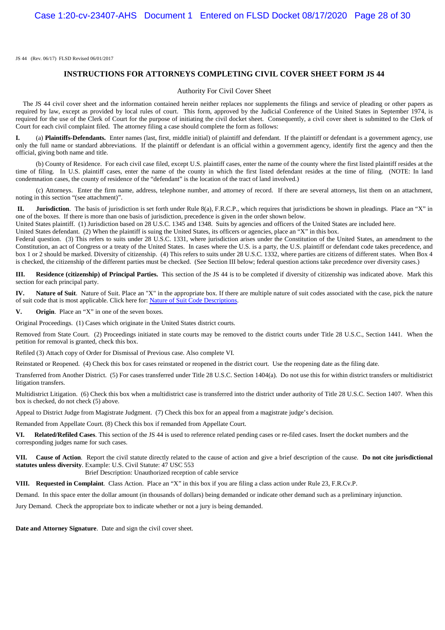JS 44 (Rev. 06/17) FLSD Revised 06/01/2017

#### **INSTRUCTIONS FOR ATTORNEYS COMPLETING CIVIL COVER SHEET FORM JS 44**

#### Authority For Civil Cover Sheet

The JS 44 civil cover sheet and the information contained herein neither replaces nor supplements the filings and service of pleading or other papers as required by law, except as provided by local rules of court. This form, approved by the Judicial Conference of the United States in September 1974, is required for the use of the Clerk of Court for the purpose of initiating the civil docket sheet. Consequently, a civil cover sheet is submitted to the Clerk of Court for each civil complaint filed. The attorney filing a case should complete the form as follows:

**I.** (a) **Plaintiffs-Defendants.** Enter names (last, first, middle initial) of plaintiff and defendant. If the plaintiff or defendant is a government agency, use only the full name or standard abbreviations. If the plaintiff or defendant is an official within a government agency, identify first the agency and then the official, giving both name and title.

(b) County of Residence. For each civil case filed, except U.S. plaintiff cases, enter the name of the county where the first listed plaintiff resides at the time of filing. In U.S. plaintiff cases, enter the name of the county in which the first listed defendant resides at the time of filing. (NOTE: In land condemnation cases, the county of residence of the "defendant" is the location of the tract of land involved.)

(c) Attorneys. Enter the firm name, address, telephone number, and attorney of record. If there are several attorneys, list them on an attachment, noting in this section "(see attachment)".

**II. Jurisdiction**. The basis of jurisdiction is set forth under Rule 8(a), F.R.C.P., which requires that jurisdictions be shown in pleadings. Place an "X" in one of the boxes. If there is more than one basis of jurisdiction, precedence is given in the order shown below.

United States plaintiff. (1) Jurisdiction based on 28 U.S.C. 1345 and 1348. Suits by agencies and officers of the United States are included here.

United States defendant. (2) When the plaintiff is suing the United States, its officers or agencies, place an "X" in this box.

Federal question. (3) This refers to suits under 28 U.S.C. 1331, where jurisdiction arises under the Constitution of the United States, an amendment to the Constitution, an act of Congress or a treaty of the United States. In cases where the U.S. is a party, the U.S. plaintiff or defendant code takes precedence, and box 1 or 2 should be marked. Diversity of citizenship. (4) This refers to suits under 28 U.S.C. 1332, where parties are citizens of different states. When Box 4 is checked, the citizenship of the different parties must be checked. (See Section III below; federal question actions take precedence over diversity cases.)

**III. Residence (citizenship) of Principal Parties.** This section of the JS 44 is to be completed if diversity of citizenship was indicated above. Mark this section for each principal party.

**IV. Nature of Suit**. Nature of Suit. Place an "X" in the appropriate box. If there are multiple nature of suit codes associated with the case, pick the nature of suit code that is most applicable. Click here for: Nature of Suit Code Descriptions.

**V. Origin**. Place an "X" in one of the seven boxes.

Original Proceedings. (1) Cases which originate in the United States district courts.

Removed from State Court. (2) Proceedings initiated in state courts may be removed to the district courts under Title 28 U.S.C., Section 1441. When the petition for removal is granted, check this box.

Refiled (3) Attach copy of Order for Dismissal of Previous case. Also complete VI.

Reinstated or Reopened. (4) Check this box for cases reinstated or reopened in the district court. Use the reopening date as the filing date.

Transferred from Another District. (5) For cases transferred under Title 28 U.S.C. Section 1404(a). Do not use this for within district transfers or multidistrict litigation transfers.

Multidistrict Litigation. (6) Check this box when a multidistrict case is transferred into the district under authority of Title 28 U.S.C. Section 1407. When this box is checked, do not check (5) above.

Appeal to District Judge from Magistrate Judgment. (7) Check this box for an appeal from a magistrate judge's decision.

Remanded from Appellate Court. (8) Check this box if remanded from Appellate Court.

**VI. Related/Refiled Cases**. This section of the JS 44 is used to reference related pending cases or re-filed cases. Insert the docket numbers and the corresponding judges name for such cases.

**VII. Cause of Action**. Report the civil statute directly related to the cause of action and give a brief description of the cause. **Do not cite jurisdictional statutes unless diversity**. Example: U.S. Civil Statute: 47 USC 553

Brief Description: Unauthorized reception of cable service

**VIII. Requested in Complaint**. Class Action. Place an "X" in this box if you are filing a class action under Rule 23, F.R.Cv.P.

Demand. In this space enter the dollar amount (in thousands of dollars) being demanded or indicate other demand such as a preliminary injunction.

Jury Demand. Check the appropriate box to indicate whether or not a jury is being demanded.

**Date and Attorney Signature**. Date and sign the civil cover sheet.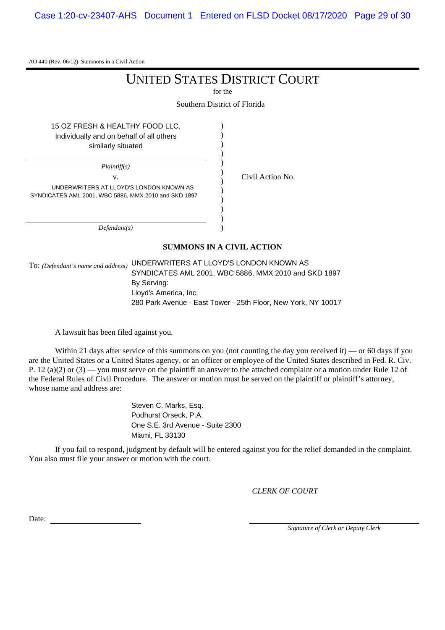Case 1:20-cv-23407-AHS Document 1 Entered on FLSD Docket 08/17/2020 Page 29 of 30

AO 440 (Rev. 06/12) Summons in a Civil Action

# UNITED STATES DISTRICT COURT

for the

Southern District of Florida

) ) ) ) ) ) ) ) ) ) ) )

Civil Action No.

| 15 OZ FRESH & HEALTHY FOOD LLC.<br>Individually and on behalf of all others<br>similarly situated |  |
|---------------------------------------------------------------------------------------------------|--|
| Plaintiff(s)                                                                                      |  |
| V.                                                                                                |  |
| UNDERWRITERS AT LLOYD'S LONDON KNOWN AS                                                           |  |
| SYNDICATES AML 2001, WBC 5886, MMX 2010 and SKD 1897                                              |  |
|                                                                                                   |  |

*Defendant(s)*

#### **SUMMONS IN A CIVIL ACTION**

To: *(Defendant's name and address)* UNDERWRITERS AT LLOYD'S LONDON KNOWN AS SYNDICATES AML 2001, WBC 5886, MMX 2010 and SKD 1897 By Serving: Lloyd's America, Inc. 280 Park Avenue - East Tower - 25th Floor, New York, NY 10017

A lawsuit has been filed against you.

Within 21 days after service of this summons on you (not counting the day you received it) — or 60 days if you are the United States or a United States agency, or an officer or employee of the United States described in Fed. R. Civ. P. 12 (a)(2) or (3) — you must serve on the plaintiff an answer to the attached complaint or a motion under Rule 12 of the Federal Rules of Civil Procedure. The answer or motion must be served on the plaintiff or plaintiff's attorney, whose name and address are:

> Steven C. Marks, Esq. Podhurst Orseck, P.A. One S.E. 3rd Avenue - Suite 2300 Miami, FL 33130

If you fail to respond, judgment by default will be entered against you for the relief demanded in the complaint. You also must file your answer or motion with the court.

*CLERK OF COURT*

Date:

*Signature of Clerk or Deputy Clerk*